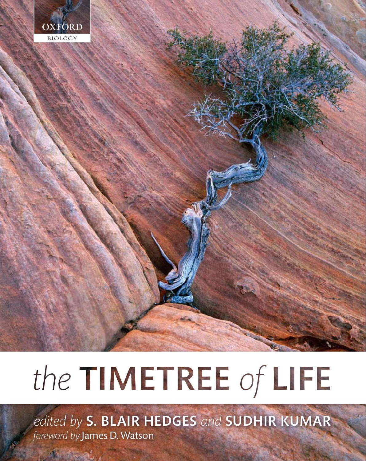

# the TIMETREE of LIFE

edited by S. BLAIR HEDGES and SUDHIR KUMAR foreword by James D. Watson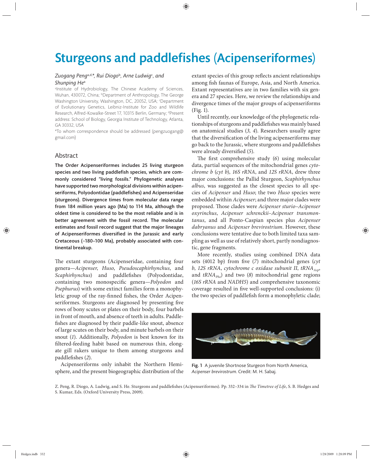# **Sturgeons and paddlefishes (Acipenseriformes)**

### *Zuogang Peng*a,d,*\*, Rui Diogo*<sup>b</sup>*, Arne Ludwig*<sup>c</sup> *, and Shunping He*<sup>a</sup>

alnstitute of Hydrobiology, The Chinese Academy of Sciences, Wuhan, 430072, China; <sup>b</sup>Department of Anthropology, The George Washington University, Washington, DC, 20052, USA; <sup>c</sup>Department of Evolutionary Genetics, Leibniz-Institute for Zoo and Wildlife Research, Alfred-Kowalke-Street 17, 10315 Berlin, Germany; dPresent address: School of Biology, Georgia Institute of Technology, Atlanta, GA 30332, USA

\*To whom correspondence should be addressed (pengzuogang@ gmail.com)

# Abstract

The Order Acipenseriformes includes 25 living sturgeon species and two living paddlefish species, which are commonly considered "living fossils." Phylogenetic analyses have supported two morphological divisions within acipenseriforms, Polyodontidae (paddlefishes) and Acipenseridae (sturgeons). Divergence times from molecular data range from 184 million years ago (Ma) to 114 Ma, although the oldest time is considered to be the most reliable and is in better agreement with the fossil record. The molecular estimates and fossil record suggest that the major lineages of Acipenseriformes diversified in the Jurassic and early Cretaceous (~180–100 Ma), probably associated with continental breakup.

The extant sturgeons (Acipenseridae, containing four genera—*Acipenser*, *Huso*, *Pseudoscaphirhynchus*, and *Scaphirhynchus*) and paddlefishes (Polyodontidae, containing two monospecific genera-*Polyodon* and *Psephurus*) with some extinct families form a monophyletic group of the ray-finned fishes, the Order Acipenseriformes. Sturgeons are diagnosed by presenting five rows of bony scutes or plates on their body, four barbels in front of mouth, and absence of teeth in adults. Paddlefishes are diagnosed by their paddle-like snout, absence of large scutes on their body, and minute barbels on their snout (*1*). Additionally, *Polyodon* is best known for its filtered-feeding habit based on numerous thin, elongate gill rakers unique to them among sturgeons and paddlefishes (2).

Acipenseriforms only inhabit the Northern Hemisphere, and the present biogeographic distribution of the extant species of this group reflects ancient relationships among fish faunas of Europe, Asia, and North America. Extant representatives are in two families with six genera and 27 species. Here, we review the relationships and divergence times of the major groups of acipenseriforms (Fig. 1).

Until recently, our knowledge of the phylogenetic relationships of sturgeons and paddlefishes was mainly based on anatomical stu dies (*3, 4*). Researchers u su ally agree that the diversification of the living acipenseriforms may go back to the Jurassic, where sturgeons and paddlefishes were already diversified (5).

The first comprehensive study (6) using molecular data, partial sequences of the mitochondrial genes *cytochrome b* (*cyt b*), *16S rRNA*, and *12S rRNA*, drew three major conclusions: the Pallid Sturgeon, *Scaphirhynchus albus*, was suggested as the closest species to all species of *Acipenser* and *Huso*; the two *Huso* species were embedded within *Acipenser*; and three major clades were proposed. Those clades were *Acipenser sturio-Acipenser oxyrinchus*, *Acipenser schrenckii*–*Acipenser transmontanus*, and all Ponto-Caspian species plus *Acipenser dabryanus* and *Acipenser brevirostrium*. However, these conclusions were tentative due to both limited taxa sampling as well as use of relatively short, partly nondiagnostic, gene fragments.

More recently, studies using combined DNA data sets (4012 bp) from five (7) mitochondrial genes (cyt *b*, 12S rRNA, cytochrome c oxidase subunit II, *tRNA*<sub>Asp</sub>, and *tRNA*<sub>*Phe</sub>*) and two (8) mitochondrial gene regions</sub> (*16S rRNA* and *NADH5*) and comprehensive taxonomic coverage resulted in five well-supported conclusions: (i) the two species of paddlefish form a monophyletic clade;



Fig. 1 A juvenile Shortnose Sturgeon from North America, *Acipenser brevirostrum*. Credit: M. H. Sabaj.

Z. Peng, R. Diogo, A. Ludwig, and S. He. Sturgeons and paddlefishes (Acipenseriformes). Pp. 332-334 in *The Timetree of Life*, S. B. Hedges and S. Kumar, Eds. (Oxford University Press, 2009).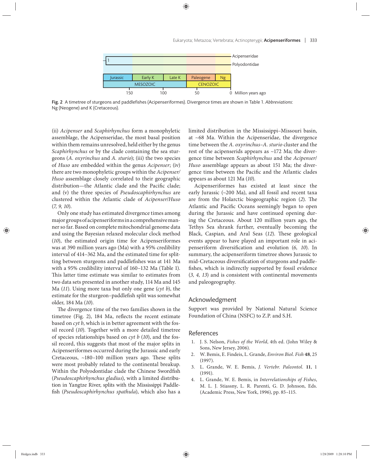

Fig. 2 A timetree of sturgeons and paddlefishes (Acipenseriformes). Divergence times are shown in Table 1. Abbreviations: Ng (Neogene) and K (Cretaceous).

(ii) *Acipenser* and *Scaphirhynchus* form a monophyletic assemblage, the Acipenseridae, the most basal position within them remains unresolved, held either by the genus *Scaphirhynchus* or by the clade containing the sea sturgeons (*A. oxyrinchus* and *A. sturio*); (iii) the two species of *Huso* are embedded within the genus *Acipenser*; (iv) there are two monophyletic groups within the *Acipenser/ Huso* assemblage closely correlated to their geographic distribution—the Atlantic clade and the Pacific clade; and (v) the three species of *Pseudoscaphirhynchus* are clu stered within the Atlantic clade of *Acipenser*/*Huso* (*7, 9, 10*).

Only one study has estimated divergence times among major groups of acipenseriforms in a comprehensive manner so far. Based on complete mitochondrial genome data and using the Bayesian relaxed molecular clock method (*10*), the estimated origin time for Acipenseriformes was at 390 million years ago (Ma) with a 95% credibility interval of 414–362 Ma, and the estimated time for splitting between sturgeons and paddlefishes was at 141 Ma with a 95% credibility interval of 160–132 Ma (Table 1). This latter time estimate was similar to estimates from two data sets presented in another study, 114 Ma and 145 Ma (*11*). Using more taxa but only one gene (*cyt b*), the estimate for the sturgeon-paddlefish split was somewhat older, 184 Ma (*10*).

The divergence time of the two families shown in the timetree (Fig. 2),  $184$  Ma, reflects the recent estimate based on *cyt b*, which is in better agreement with the fossil record (*10*). Together with a more detailed timetree of species relationships based on *cyt b* (*10*), and the fossil record, this suggests that most of the major splits in Acipenseriformes occurred during the Jurassic and early Cretaceous,  $~180-100$  million years ago. These splits were most probably related to the continental breakup. Within the Polyodontidae clade the Chinese Swordfish (*Pseudoscaphirhynchus gladius*), with a limited distribution in Yangtze River, splits with the Mississippi Paddlefish (*Pseudoscaphirhynchus spathula*), which also has a limited distribution in the Mississippi–Missouri basin, at ~68 Ma. Within the Acipenseridae, the divergence time between the *A. oxyrinchus–A. sturio* cluster and the rest of the acipenserids appears as ~172 Ma; the divergence time between *Scaphirhynchus* and the *Acipenser*/ *Huso* assemblage appears as about 151 Ma; the divergence time between the Pacific and the Atlantic clades appears as about 121 Ma (*10*).

Acipenseriformes has existed at least since the early Jurassic (~200 Ma), and all fossil and recent taxa are from the Holarctic biogeographic region (2). The Atlantic and Pacific Oceans seemingly began to open during the Jurassic and have continued opening during the Cretaceous. About 120 million years ago, the Tethys Sea shrank further, eventually becoming the Black, Caspian, and Aral Seas (12). These geological events appear to have played an important role in acipenseriform diversification and evolution (6, 10). In summary, the acipenseriform timetree shows Jurassic to mid-Cretaceous diversification of sturgeons and paddlefishes, which is indirectly supported by fossil evidence (*3, 4, 13*) and is consistent with continental movements and paleogeography.

#### Acknowledgment

Support was provided by National Natural Science Foundation of China (NSFC) to Z.P. and S.H.

## References

- 1. J. S. Nelson, *Fishes of the World*, 4th ed. (John Wiley & Sons, New Jersey, 2006).
- 2. W. Bemis, E. Findeis, L. Grande, *Environ Biol. Fish* **48**, 25 (1997).
- 3. L. Grande, W. E. Bemis, *J. Vertebr. Paleontol.* **11**, 1 (1991).
- 4. L. Grande, W. E. Bemis, in *Interrelationships of Fishes*, M. L. J. Stiassny, L. R. Parenti, G. D. Johnson, Eds. (Academic Press, New York, 1996), pp. 85–115.